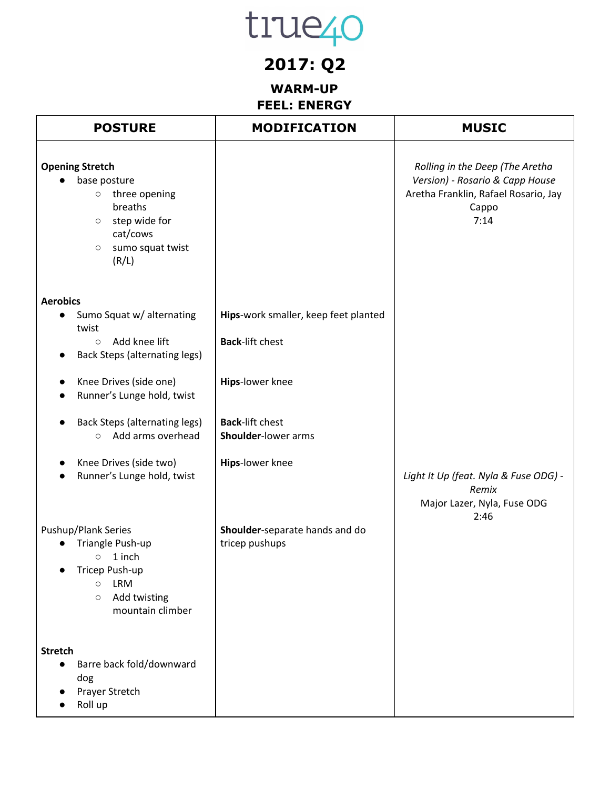### **2017: Q2**

#### **WARM-UP FEEL: ENERGY**

| <b>POSTURE</b>                                                                                                                                                                                                                                                                                                                 | <b>MODIFICATION</b>                                                                                                                                          | <b>MUSIC</b>                                                                                                                |
|--------------------------------------------------------------------------------------------------------------------------------------------------------------------------------------------------------------------------------------------------------------------------------------------------------------------------------|--------------------------------------------------------------------------------------------------------------------------------------------------------------|-----------------------------------------------------------------------------------------------------------------------------|
| <b>Opening Stretch</b><br>base posture<br>three opening<br>$\circ$<br>breaths<br>step wide for<br>$\circ$<br>cat/cows<br>sumo squat twist<br>$\circ$<br>(R/L)                                                                                                                                                                  |                                                                                                                                                              | Rolling in the Deep (The Aretha<br>Version) - Rosario & Capp House<br>Aretha Franklin, Rafael Rosario, Jay<br>Cappo<br>7:14 |
| <b>Aerobics</b><br>Sumo Squat w/ alternating<br>$\bullet$<br>twist<br>Add knee lift<br>$\circ$<br><b>Back Steps (alternating legs)</b><br>Knee Drives (side one)<br>Runner's Lunge hold, twist<br><b>Back Steps (alternating legs)</b><br>Add arms overhead<br>$\circ$<br>Knee Drives (side two)<br>Runner's Lunge hold, twist | Hips-work smaller, keep feet planted<br><b>Back-lift chest</b><br>Hips-lower knee<br><b>Back-lift chest</b><br><b>Shoulder-lower arms</b><br>Hips-lower knee | Light It Up (feat. Nyla & Fuse ODG) -<br>Remix<br>Major Lazer, Nyla, Fuse ODG<br>2:46                                       |
| Pushup/Plank Series<br>Triangle Push-up<br>1 inch<br>$\circ$<br>Tricep Push-up<br><b>LRM</b><br>$\circ$<br>Add twisting<br>$\circlearrowright$<br>mountain climber<br><b>Stretch</b><br>Barre back fold/downward<br>$\bullet$<br>dog<br>Prayer Stretch<br>Roll up                                                              | Shoulder-separate hands and do<br>tricep pushups                                                                                                             |                                                                                                                             |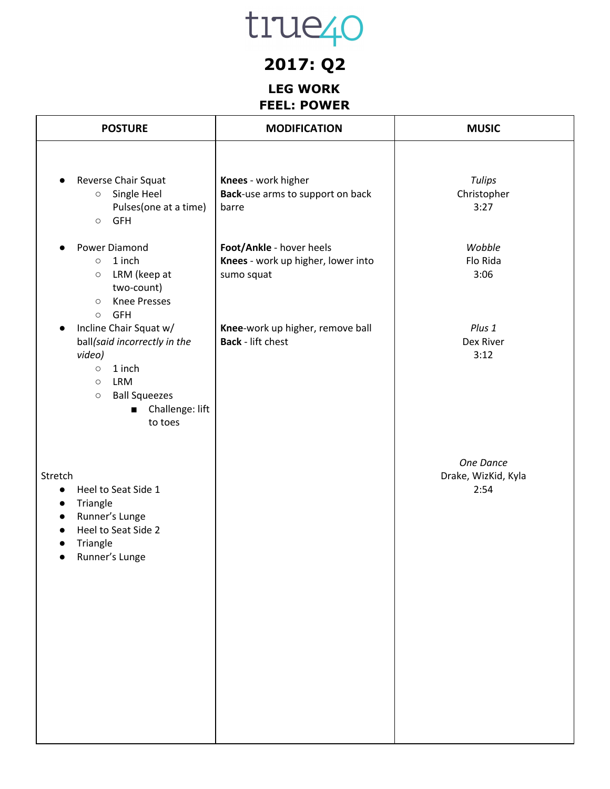## **2017: Q2**

#### **LEG WORK FEEL: POWER**

| <b>POSTURE</b>                                                                                                                                                                                                                                   | <b>MODIFICATION</b>                                                          | <b>MUSIC</b>                             |
|--------------------------------------------------------------------------------------------------------------------------------------------------------------------------------------------------------------------------------------------------|------------------------------------------------------------------------------|------------------------------------------|
| Reverse Chair Squat<br>Single Heel<br>$\circ$<br>Pulses(one at a time)<br><b>GFH</b><br>$\circ$                                                                                                                                                  | Knees - work higher<br>Back-use arms to support on back<br>barre             | <b>Tulips</b><br>Christopher<br>3:27     |
| Power Diamond<br>$\bullet$<br>1 inch<br>$\circ$<br>LRM (keep at<br>$\circlearrowright$<br>two-count)<br><b>Knee Presses</b><br>$\circ$<br><b>GFH</b>                                                                                             | Foot/Ankle - hover heels<br>Knees - work up higher, lower into<br>sumo squat | Wobble<br>Flo Rida<br>3:06               |
| $\circ$<br>Incline Chair Squat w/<br>ball(said incorrectly in the<br>video)<br>1 inch<br>$\circlearrowright$<br><b>LRM</b><br>$\circlearrowright$<br><b>Ball Squeezes</b><br>$\circlearrowright$<br>Challenge: lift<br>$\blacksquare$<br>to toes | Knee-work up higher, remove ball<br><b>Back</b> - lift chest                 | Plus 1<br>Dex River<br>3:12              |
| Stretch<br>Heel to Seat Side 1<br>$\bullet$<br>Triangle<br>$\bullet$<br>Runner's Lunge<br>$\bullet$<br>Heel to Seat Side 2<br>$\bullet$<br>Triangle<br>Runner's Lunge                                                                            |                                                                              | One Dance<br>Drake, WizKid, Kyla<br>2:54 |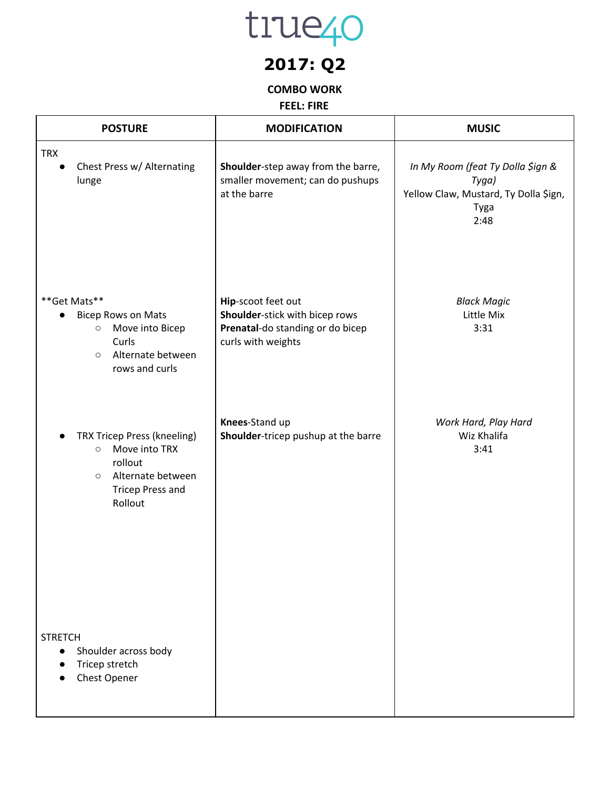

## **2017: Q2**

#### **COMBO WORK**

**FEEL: FIRE**

| <b>POSTURE</b>                                                                                                                           | <b>MODIFICATION</b>                                                                                            | <b>MUSIC</b>                                                                                        |
|------------------------------------------------------------------------------------------------------------------------------------------|----------------------------------------------------------------------------------------------------------------|-----------------------------------------------------------------------------------------------------|
| <b>TRX</b><br>Chest Press w/ Alternating<br>lunge                                                                                        | Shoulder-step away from the barre,<br>smaller movement; can do pushups<br>at the barre                         | In My Room (feat Ty Dolla \$ign &<br>Tyga)<br>Yellow Claw, Mustard, Ty Dolla \$ign,<br>Tyga<br>2:48 |
| ** Get Mats**<br><b>Bicep Rows on Mats</b><br>Move into Bicep<br>$\bigcirc$<br>Curls<br>Alternate between<br>$\circ$<br>rows and curls   | Hip-scoot feet out<br>Shoulder-stick with bicep rows<br>Prenatal-do standing or do bicep<br>curls with weights | <b>Black Magic</b><br>Little Mix<br>3:31                                                            |
| TRX Tricep Press (kneeling)<br>Move into TRX<br>$\circ$<br>rollout<br>Alternate between<br>$\circ$<br><b>Tricep Press and</b><br>Rollout | Knees-Stand up<br>Shoulder-tricep pushup at the barre                                                          | Work Hard, Play Hard<br>Wiz Khalifa<br>3:41                                                         |
| <b>STRETCH</b><br>Shoulder across body<br>Tricep stretch<br>Chest Opener                                                                 |                                                                                                                |                                                                                                     |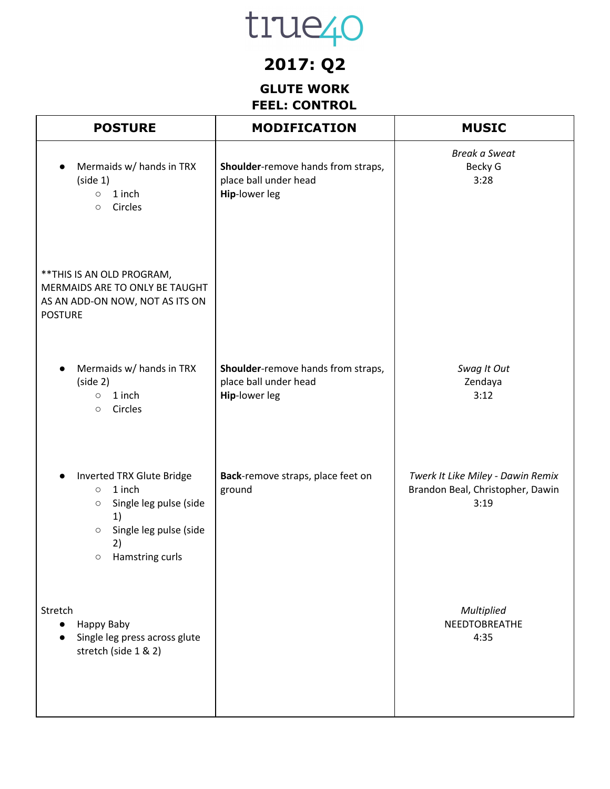## **2017: Q2**

### **GLUTE WORK FEEL: CONTROL**

| <b>POSTURE</b>                                                                                                                                                  | <b>MODIFICATION</b>                                                          | <b>MUSIC</b>                                                                  |
|-----------------------------------------------------------------------------------------------------------------------------------------------------------------|------------------------------------------------------------------------------|-------------------------------------------------------------------------------|
| Mermaids w/ hands in TRX<br>(side 1)<br>1 inch<br>$\circ$<br>Circles<br>$\circ$                                                                                 | Shoulder-remove hands from straps,<br>place ball under head<br>Hip-lower leg | <b>Break a Sweat</b><br>Becky G<br>3:28                                       |
| ** THIS IS AN OLD PROGRAM,<br>MERMAIDS ARE TO ONLY BE TAUGHT<br>AS AN ADD-ON NOW, NOT AS ITS ON<br><b>POSTURE</b>                                               |                                                                              |                                                                               |
| Mermaids w/ hands in TRX<br>(side 2)<br>1 inch<br>$\circ$<br>Circles<br>$\circ$                                                                                 | Shoulder-remove hands from straps,<br>place ball under head<br>Hip-lower leg | Swag It Out<br>Zendaya<br>3:12                                                |
| Inverted TRX Glute Bridge<br>1 inch<br>$\circ$<br>Single leg pulse (side<br>$\bigcirc$<br>1)<br>Single leg pulse (side<br>$\circ$<br>2)<br>Hamstring curls<br>O | Back-remove straps, place feet on<br>ground                                  | Twerk It Like Miley - Dawin Remix<br>Brandon Beal, Christopher, Dawin<br>3:19 |
| Stretch<br>Happy Baby<br>Single leg press across glute<br>stretch (side 1 & 2)                                                                                  |                                                                              | Multiplied<br>NEEDTOBREATHE<br>4:35                                           |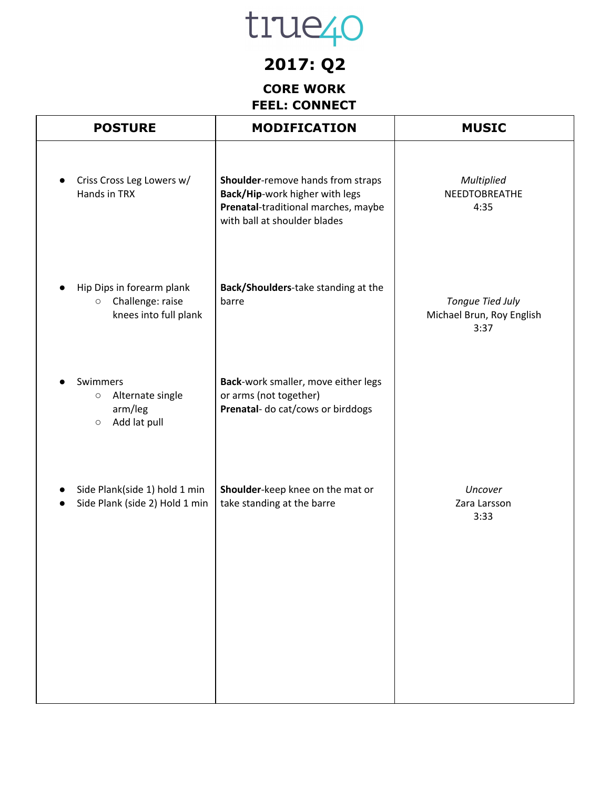## **2017: Q2**

#### **CORE WORK FEEL: CONNECT**

| <b>MODIFICATION</b>                                                                                                                        | <b>MUSIC</b>                                          |
|--------------------------------------------------------------------------------------------------------------------------------------------|-------------------------------------------------------|
| Shoulder-remove hands from straps<br>Back/Hip-work higher with legs<br>Prenatal-traditional marches, maybe<br>with ball at shoulder blades | <b>Multiplied</b><br>NEEDTOBREATHE<br>4:35            |
| Back/Shoulders-take standing at the<br>barre                                                                                               | Tongue Tied July<br>Michael Brun, Roy English<br>3:37 |
| Back-work smaller, move either legs<br>or arms (not together)<br>Prenatal- do cat/cows or birddogs                                         |                                                       |
| Shoulder-keep knee on the mat or<br>take standing at the barre                                                                             | Uncover<br>Zara Larsson<br>3:33                       |
|                                                                                                                                            |                                                       |
|                                                                                                                                            |                                                       |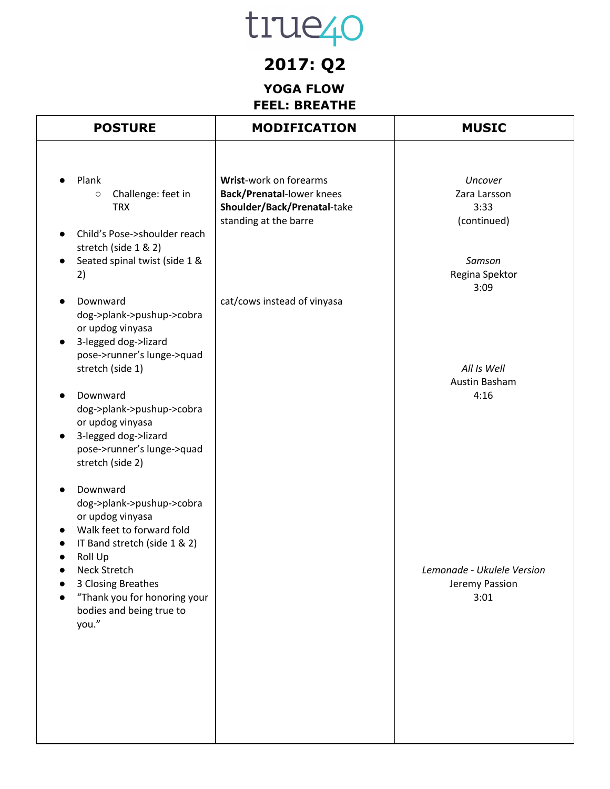### **2017: Q2**

### **YOGA FLOW FEEL: BREATHE**

| <b>POSTURE</b>                                                                                                                                                                                                                                                          | <b>MODIFICATION</b>                                                                                                | <b>MUSIC</b>                                         |
|-------------------------------------------------------------------------------------------------------------------------------------------------------------------------------------------------------------------------------------------------------------------------|--------------------------------------------------------------------------------------------------------------------|------------------------------------------------------|
| Plank<br>Challenge: feet in<br>$\circ$<br><b>TRX</b>                                                                                                                                                                                                                    | Wrist-work on forearms<br><b>Back/Prenatal-lower knees</b><br>Shoulder/Back/Prenatal-take<br>standing at the barre | Uncover<br>Zara Larsson<br>3:33<br>(continued)       |
| Child's Pose->shoulder reach<br>stretch (side 1 & 2)<br>Seated spinal twist (side 1 &<br>2)<br>Downward<br>dog->plank->pushup->cobra                                                                                                                                    | cat/cows instead of vinyasa                                                                                        | Samson<br>Regina Spektor<br>3:09                     |
| or updog vinyasa<br>3-legged dog->lizard<br>$\bullet$<br>pose->runner's lunge->quad<br>stretch (side 1)<br>Downward<br>dog->plank->pushup->cobra<br>or updog vinyasa<br>3-legged dog->lizard<br>$\bullet$<br>pose->runner's lunge->quad                                 |                                                                                                                    | All Is Well<br>Austin Basham<br>4:16                 |
| stretch (side 2)<br>Downward<br>dog->plank->pushup->cobra<br>or updog vinyasa<br>Walk feet to forward fold<br>IT Band stretch (side 1 & 2)<br>Roll Up<br><b>Neck Stretch</b><br>3 Closing Breathes<br>"Thank you for honoring your<br>bodies and being true to<br>you." |                                                                                                                    | Lemonade - Ukulele Version<br>Jeremy Passion<br>3:01 |